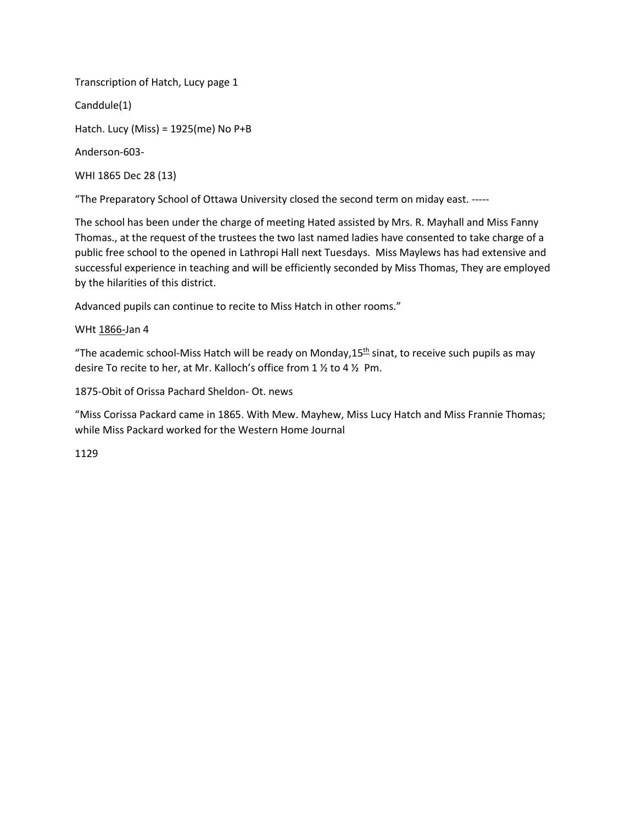Transcription of Hatch, Lucy page 1 Canddule(1) Hatch. Lucy (Miss) = 1925(me) No P+B Anderson-603- WHI 1865 Dec 28 (13)

"The Preparatory School of Ottawa University closed the second term on miday east. -----

The school has been under the charge of meeting Hated assisted by Mrs. R. Mayhall and Miss Fanny Thomas., at the request of the trustees the two last named ladies have consented to take charge of a public free school to the opened in Lathropi Hall next Tuesdays. Miss Maylews has had extensive and successful experience in teaching and will be efficiently seconded by Miss Thomas, They are employed by the hilarities of this district.

Advanced pupils can continue to recite to Miss Hatch in other rooms."

## WHt 1866-Jan 4

"The academic school-Miss Hatch will be ready on Monday,  $15<sup>th</sup>$  sinat, to receive such pupils as may desire To recite to her, at Mr. Kalloch's office from 1 ½ to 4 ½ Pm.

1875-Obit of Orissa Pachard Sheldon- Ot. news

"Miss Corissa Packard came in 1865. With Mew. Mayhew, Miss Lucy Hatch and Miss Frannie Thomas; while Miss Packard worked for the Western Home Journal

## 1129